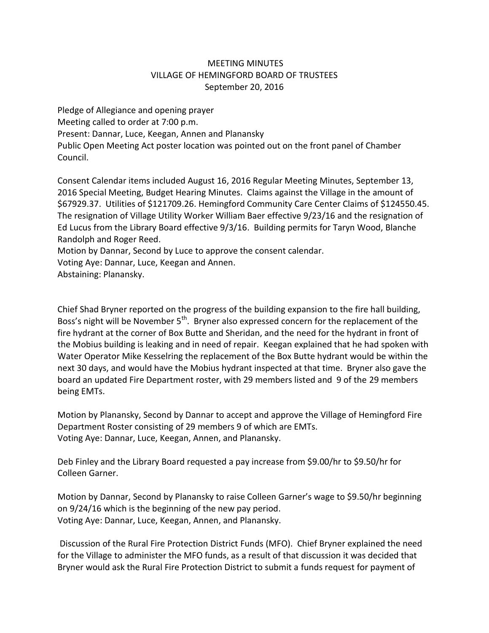## MEETING MINUTES VILLAGE OF HEMINGFORD BOARD OF TRUSTEES September 20, 2016

Pledge of Allegiance and opening prayer Meeting called to order at 7:00 p.m. Present: Dannar, Luce, Keegan, Annen and Planansky Public Open Meeting Act poster location was pointed out on the front panel of Chamber Council.

Consent Calendar items included August 16, 2016 Regular Meeting Minutes, September 13, 2016 Special Meeting, Budget Hearing Minutes. Claims against the Village in the amount of \$67929.37. Utilities of \$121709.26. Hemingford Community Care Center Claims of \$124550.45. The resignation of Village Utility Worker William Baer effective 9/23/16 and the resignation of Ed Lucus from the Library Board effective 9/3/16. Building permits for Taryn Wood, Blanche Randolph and Roger Reed.

Motion by Dannar, Second by Luce to approve the consent calendar.

Voting Aye: Dannar, Luce, Keegan and Annen.

Abstaining: Planansky.

Chief Shad Bryner reported on the progress of the building expansion to the fire hall building, Boss's night will be November 5<sup>th</sup>. Bryner also expressed concern for the replacement of the fire hydrant at the corner of Box Butte and Sheridan, and the need for the hydrant in front of the Mobius building is leaking and in need of repair. Keegan explained that he had spoken with Water Operator Mike Kesselring the replacement of the Box Butte hydrant would be within the next 30 days, and would have the Mobius hydrant inspected at that time. Bryner also gave the board an updated Fire Department roster, with 29 members listed and 9 of the 29 members being EMTs.

Motion by Planansky, Second by Dannar to accept and approve the Village of Hemingford Fire Department Roster consisting of 29 members 9 of which are EMTs. Voting Aye: Dannar, Luce, Keegan, Annen, and Planansky.

Deb Finley and the Library Board requested a pay increase from \$9.00/hr to \$9.50/hr for Colleen Garner.

Motion by Dannar, Second by Planansky to raise Colleen Garner's wage to \$9.50/hr beginning on 9/24/16 which is the beginning of the new pay period. Voting Aye: Dannar, Luce, Keegan, Annen, and Planansky.

Discussion of the Rural Fire Protection District Funds (MFO). Chief Bryner explained the need for the Village to administer the MFO funds, as a result of that discussion it was decided that Bryner would ask the Rural Fire Protection District to submit a funds request for payment of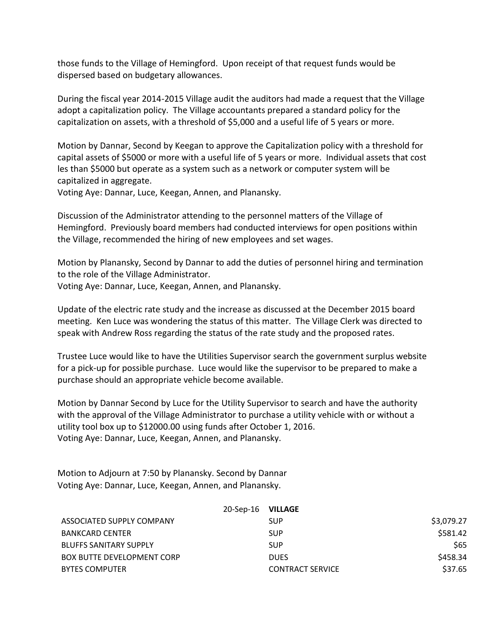those funds to the Village of Hemingford. Upon receipt of that request funds would be dispersed based on budgetary allowances.

During the fiscal year 2014-2015 Village audit the auditors had made a request that the Village adopt a capitalization policy. The Village accountants prepared a standard policy for the capitalization on assets, with a threshold of \$5,000 and a useful life of 5 years or more.

Motion by Dannar, Second by Keegan to approve the Capitalization policy with a threshold for capital assets of \$5000 or more with a useful life of 5 years or more. Individual assets that cost les than \$5000 but operate as a system such as a network or computer system will be capitalized in aggregate.

Voting Aye: Dannar, Luce, Keegan, Annen, and Planansky.

Discussion of the Administrator attending to the personnel matters of the Village of Hemingford. Previously board members had conducted interviews for open positions within the Village, recommended the hiring of new employees and set wages.

Motion by Planansky, Second by Dannar to add the duties of personnel hiring and termination to the role of the Village Administrator. Voting Aye: Dannar, Luce, Keegan, Annen, and Planansky.

Update of the electric rate study and the increase as discussed at the December 2015 board meeting. Ken Luce was wondering the status of this matter. The Village Clerk was directed to speak with Andrew Ross regarding the status of the rate study and the proposed rates.

Trustee Luce would like to have the Utilities Supervisor search the government surplus website for a pick-up for possible purchase. Luce would like the supervisor to be prepared to make a purchase should an appropriate vehicle become available.

Motion by Dannar Second by Luce for the Utility Supervisor to search and have the authority with the approval of the Village Administrator to purchase a utility vehicle with or without a utility tool box up to \$12000.00 using funds after October 1, 2016. Voting Aye: Dannar, Luce, Keegan, Annen, and Planansky.

Motion to Adjourn at 7:50 by Planansky. Second by Dannar Voting Aye: Dannar, Luce, Keegan, Annen, and Planansky.

|                               | 20-Sep-16 VILLAGE |                         |            |
|-------------------------------|-------------------|-------------------------|------------|
| ASSOCIATED SUPPLY COMPANY     |                   | <b>SUP</b>              | \$3,079.27 |
| BANKCARD CENTER               |                   | <b>SUP</b>              | \$581.42   |
| <b>BLUFFS SANITARY SUPPLY</b> |                   | <b>SUP</b>              | \$65       |
| BOX BUTTE DEVELOPMENT CORP    |                   | <b>DUES</b>             | \$458.34   |
| <b>BYTES COMPUTER</b>         |                   | <b>CONTRACT SERVICE</b> | \$37.65    |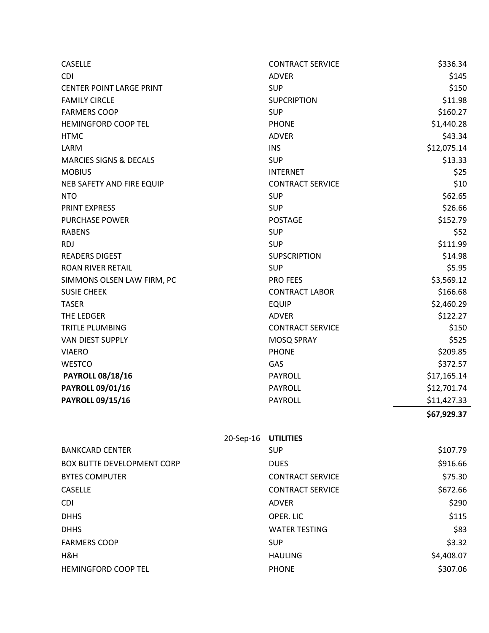| <b>CASELLE</b>                    |           | <b>CONTRACT SERVICE</b> | \$336.34    |
|-----------------------------------|-----------|-------------------------|-------------|
| <b>CDI</b>                        |           | <b>ADVER</b>            | \$145       |
| <b>CENTER POINT LARGE PRINT</b>   |           | <b>SUP</b>              | \$150       |
| <b>FAMILY CIRCLE</b>              |           | <b>SUPCRIPTION</b>      | \$11.98     |
| <b>FARMERS COOP</b>               |           | <b>SUP</b>              | \$160.27    |
| <b>HEMINGFORD COOP TEL</b>        |           | <b>PHONE</b>            | \$1,440.28  |
| <b>HTMC</b>                       |           | <b>ADVER</b>            | \$43.34     |
| LARM                              |           | <b>INS</b>              | \$12,075.14 |
| <b>MARCIES SIGNS &amp; DECALS</b> |           | <b>SUP</b>              | \$13.33     |
| <b>MOBIUS</b>                     |           | <b>INTERNET</b>         | \$25        |
| NEB SAFETY AND FIRE EQUIP         |           | <b>CONTRACT SERVICE</b> | \$10        |
| <b>NTO</b>                        |           | <b>SUP</b>              | \$62.65     |
| <b>PRINT EXPRESS</b>              |           | <b>SUP</b>              | \$26.66     |
| <b>PURCHASE POWER</b>             |           | <b>POSTAGE</b>          | \$152.79    |
| <b>RABENS</b>                     |           | <b>SUP</b>              | \$52        |
| <b>RDJ</b>                        |           | <b>SUP</b>              | \$111.99    |
| <b>READERS DIGEST</b>             |           | <b>SUPSCRIPTION</b>     | \$14.98     |
| <b>ROAN RIVER RETAIL</b>          |           | <b>SUP</b>              | \$5.95      |
| SIMMONS OLSEN LAW FIRM, PC        |           | PRO FEES                | \$3,569.12  |
| <b>SUSIE CHEEK</b>                |           | <b>CONTRACT LABOR</b>   | \$166.68    |
| <b>TASER</b>                      |           | <b>EQUIP</b>            | \$2,460.29  |
| THE LEDGER                        |           | <b>ADVER</b>            | \$122.27    |
| TRITLE PLUMBING                   |           | <b>CONTRACT SERVICE</b> | \$150       |
| <b>VAN DIEST SUPPLY</b>           |           | MOSQ SPRAY              | \$525       |
| <b>VIAERO</b>                     |           | <b>PHONE</b>            | \$209.85    |
| <b>WESTCO</b>                     |           | GAS                     | \$372.57    |
| <b>PAYROLL 08/18/16</b>           |           | <b>PAYROLL</b>          | \$17,165.14 |
| <b>PAYROLL 09/01/16</b>           |           | <b>PAYROLL</b>          | \$12,701.74 |
| <b>PAYROLL 09/15/16</b>           |           | PAYROLL                 | \$11,427.33 |
|                                   |           |                         | \$67,929.37 |
|                                   | 20-Sep-16 | <b>UTILITIES</b>        |             |
| <b>BANKCARD CENTER</b>            |           | <b>SUP</b>              | \$107.79    |
| <b>BOX BUTTE DEVELOPMENT CORP</b> |           | <b>DUES</b>             | \$916.66    |
| <b>BYTES COMPUTER</b>             |           | <b>CONTRACT SERVICE</b> | \$75.30     |
| <b>CASELLE</b>                    |           | <b>CONTRACT SERVICE</b> | \$672.66    |
| <b>CDI</b>                        |           | <b>ADVFR</b>            | \$290       |
| <b>DHHS</b>                       |           | OPER. LIC               | \$115       |
| <b>DHHS</b>                       |           | <b>WATER TESTING</b>    | \$83        |
| <b>FARMERS COOP</b>               |           | <b>SUP</b>              | \$3.32      |
| H&H                               |           | <b>HAULING</b>          | \$4,408.07  |
| HEMINGFORD COOP TEL               |           | <b>PHONE</b>            | \$307.06    |
|                                   |           |                         |             |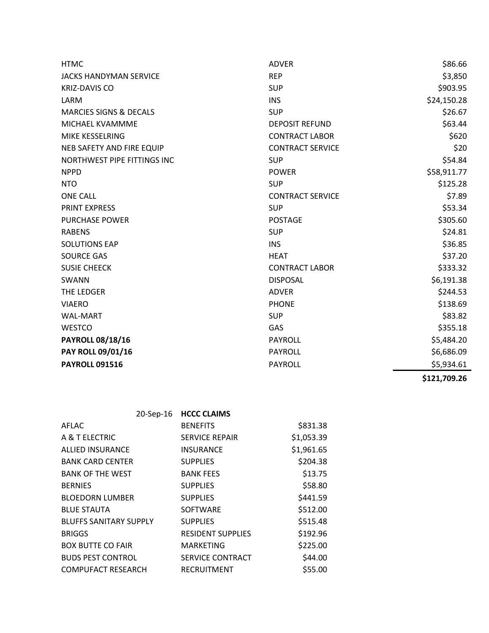| <b>HTMC</b>                       | <b>ADVER</b>            | \$86.66     |
|-----------------------------------|-------------------------|-------------|
| <b>JACKS HANDYMAN SERVICE</b>     | <b>REP</b>              | \$3,850     |
| <b>KRIZ-DAVIS CO</b>              | <b>SUP</b>              | \$903.95    |
| LARM                              | <b>INS</b>              | \$24,150.28 |
| <b>MARCIES SIGNS &amp; DECALS</b> | <b>SUP</b>              | \$26.67     |
| MICHAEL KVAMMME                   | <b>DEPOSIT REFUND</b>   | \$63.44     |
| MIKE KESSELRING                   | <b>CONTRACT LABOR</b>   | \$620       |
| <b>NEB SAFETY AND FIRE EQUIP</b>  | <b>CONTRACT SERVICE</b> | \$20        |
| NORTHWEST PIPE FITTINGS INC       | <b>SUP</b>              | \$54.84     |
| <b>NPPD</b>                       | <b>POWER</b>            | \$58,911.77 |
| <b>NTO</b>                        | <b>SUP</b>              | \$125.28    |
| <b>ONE CALL</b>                   | <b>CONTRACT SERVICE</b> | \$7.89      |
| PRINT EXPRESS                     | <b>SUP</b>              | \$53.34     |
| <b>PURCHASE POWER</b>             | <b>POSTAGE</b>          | \$305.60    |
| <b>RABENS</b>                     | <b>SUP</b>              | \$24.81     |
| <b>SOLUTIONS EAP</b>              | <b>INS</b>              | \$36.85     |
| <b>SOURCE GAS</b>                 | <b>HEAT</b>             | \$37.20     |
| <b>SUSIE CHEECK</b>               | <b>CONTRACT LABOR</b>   | \$333.32    |
| SWANN                             | <b>DISPOSAL</b>         | \$6,191.38  |
| THE LEDGER                        | <b>ADVER</b>            | \$244.53    |
| <b>VIAERO</b>                     | <b>PHONE</b>            | \$138.69    |
| <b>WAL-MART</b>                   | <b>SUP</b>              | \$83.82     |
| <b>WESTCO</b>                     | GAS                     | \$355.18    |
| <b>PAYROLL 08/18/16</b>           | <b>PAYROLL</b>          | \$5,484.20  |
| PAY ROLL 09/01/16                 | PAYROLL                 | \$6,686.09  |
| <b>PAYROLL 091516</b>             | <b>PAYROLL</b>          | \$5,934.61  |

**\$121,709.26** 

|                               | 20-Sep-16 HCCC CLAIMS    |            |
|-------------------------------|--------------------------|------------|
| AFLAC                         | <b>BENEFITS</b>          | \$831.38   |
| A & T ELECTRIC                | <b>SERVICE REPAIR</b>    | \$1,053.39 |
| <b>ALLIED INSURANCE</b>       | <b>INSURANCE</b>         | \$1,961.65 |
| <b>BANK CARD CENTER</b>       | <b>SUPPLIES</b>          | \$204.38   |
| <b>BANK OF THE WEST</b>       | <b>BANK FEES</b>         | \$13.75    |
| <b>BERNIES</b>                | <b>SUPPLIES</b>          | \$58.80    |
| <b>BLOEDORN LUMBER</b>        | <b>SUPPLIES</b>          | \$441.59   |
| <b>BLUE STAUTA</b>            | <b>SOFTWARE</b>          | \$512.00   |
| <b>BLUFFS SANITARY SUPPLY</b> | <b>SUPPLIES</b>          | \$515.48   |
| <b>BRIGGS</b>                 | <b>RESIDENT SUPPLIES</b> | \$192.96   |
| <b>BOX BUTTE CO FAIR</b>      | <b>MARKETING</b>         | \$225.00   |
| <b>BUDS PEST CONTROL</b>      | SERVICE CONTRACT         | \$44.00    |
| <b>COMPUFACT RESEARCH</b>     | <b>RECRUITMENT</b>       | \$55.00    |